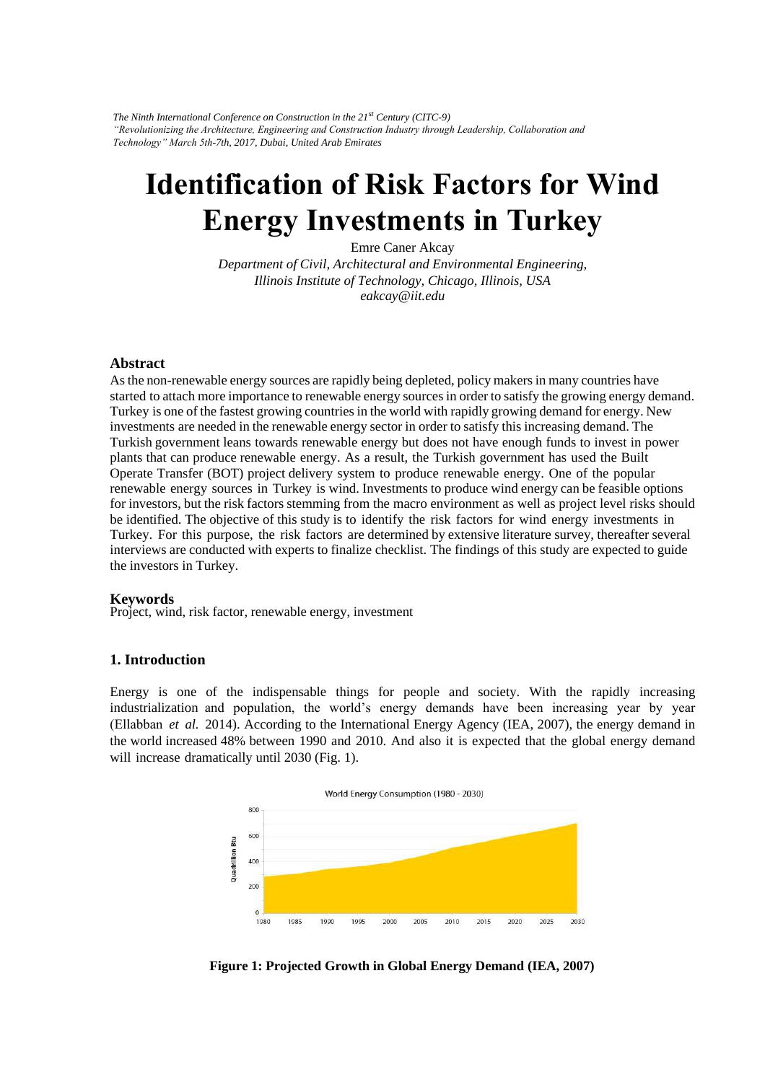*The Ninth International Conference on Construction in the 21st Century (CITC-9) "Revolutionizing the Architecture, Engineering and Construction Industry through Leadership, Collaboration and Technology" March 5th-7th, 2017, Dubai, United Arab Emirates* 

# **Identification of Risk Factors for Wind Energy Investments in Turkey**

Emre Caner Akcay *Department of Civil, Architectural and Environmental Engineering, Illinois Institute of Technology, Chicago, Illinois, USA eakcay@iit.edu* 

### **Abstract**

As the non-renewable energy sources are rapidly being depleted, policy makers in many countries have started to attach more importance to renewable energy sources in order to satisfy the growing energy demand. Turkey is one of the fastest growing countries in the world with rapidly growing demand for energy. New investments are needed in the renewable energy sector in order to satisfy this increasing demand. The Turkish government leans towards renewable energy but does not have enough funds to invest in power plants that can produce renewable energy. As a result, the Turkish government has used the Built Operate Transfer (BOT) project delivery system to produce renewable energy. One of the popular renewable energy sources in Turkey is wind. Investments to produce wind energy can be feasible options for investors, but the risk factors stemming from the macro environment as well as project level risks should be identified. The objective of this study is to identify the risk factors for wind energy investments in Turkey. For this purpose, the risk factors are determined by extensive literature survey, thereafter several interviews are conducted with experts to finalize checklist. The findings of this study are expected to guide the investors in Turkey.

#### **Keywords**

Project, wind, risk factor, renewable energy, investment

#### **1. Introduction**

Energy is one of the indispensable things for people and society. With the rapidly increasing industrialization and population, the world's energy demands have been increasing year by year (Ellabban *et al.* 2014). According to the International Energy Agency (IEA, 2007), the energy demand in the world increased 48% between 1990 and 2010. And also it is expected that the global energy demand will increase dramatically until 2030 (Fig. 1).



**Figure 1: Projected Growth in Global Energy Demand (IEA, 2007)**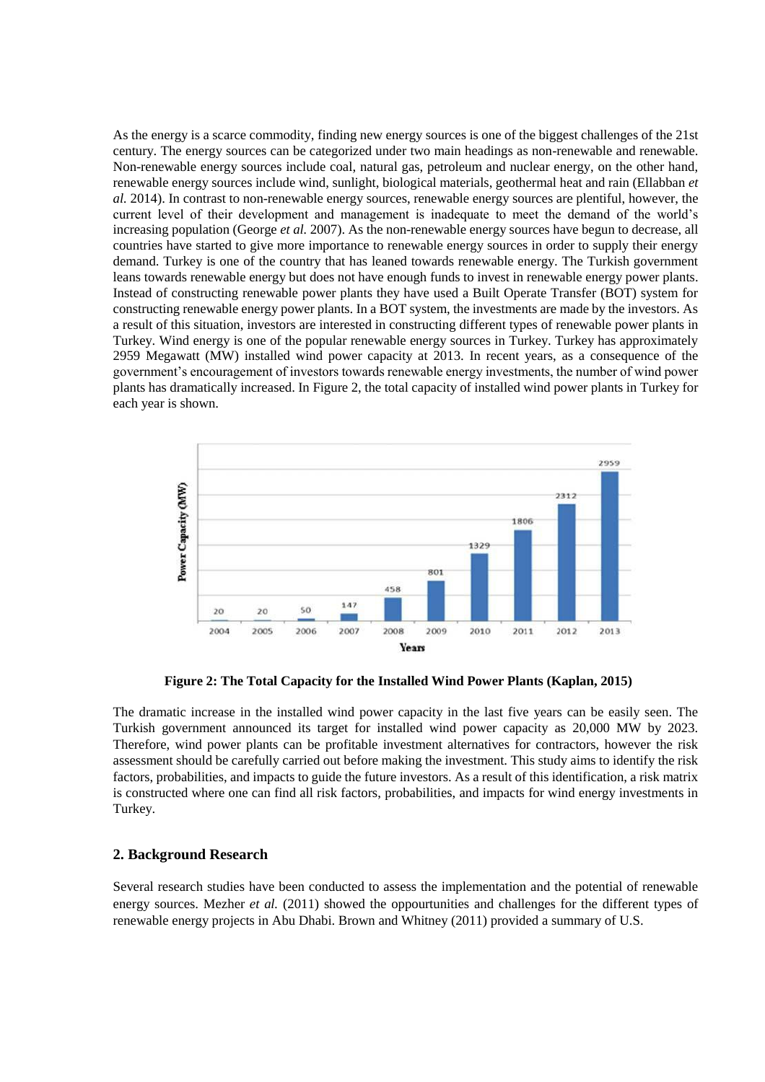As the energy is a scarce commodity, finding new energy sources is one of the biggest challenges of the 21st century. The energy sources can be categorized under two main headings as non-renewable and renewable. Non-renewable energy sources include coal, natural gas, petroleum and nuclear energy, on the other hand, renewable energy sources include wind, sunlight, biological materials, geothermal heat and rain (Ellabban *et al.* 2014). In contrast to non-renewable energy sources, renewable energy sources are plentiful, however, the current level of their development and management is inadequate to meet the demand of the world's increasing population (George *et al.* 2007). As the non-renewable energy sources have begun to decrease, all countries have started to give more importance to renewable energy sources in order to supply their energy demand. Turkey is one of the country that has leaned towards renewable energy. The Turkish government leans towards renewable energy but does not have enough funds to invest in renewable energy power plants. Instead of constructing renewable power plants they have used a Built Operate Transfer (BOT) system for constructing renewable energy power plants. In a BOT system, the investments are made by the investors. As a result of this situation, investors are interested in constructing different types of renewable power plants in Turkey. Wind energy is one of the popular renewable energy sources in Turkey. Turkey has approximately 2959 Megawatt (MW) installed wind power capacity at 2013. In recent years, as a consequence of the government's encouragement of investors towards renewable energy investments, the number of wind power plants has dramatically increased. In Figure 2, the total capacity of installed wind power plants in Turkey for each year is shown.



**Figure 2: The Total Capacity for the Installed Wind Power Plants (Kaplan, 2015)**

The dramatic increase in the installed wind power capacity in the last five years can be easily seen. The Turkish government announced its target for installed wind power capacity as 20,000 MW by 2023. Therefore, wind power plants can be profitable investment alternatives for contractors, however the risk assessment should be carefully carried out before making the investment. This study aims to identify the risk factors, probabilities, and impacts to guide the future investors. As a result of this identification, a risk matrix is constructed where one can find all risk factors, probabilities, and impacts for wind energy investments in Turkey.

### **2. Background Research**

Several research studies have been conducted to assess the implementation and the potential of renewable energy sources. Mezher *et al.* (2011) showed the oppourtunities and challenges for the different types of renewable energy projects in Abu Dhabi. Brown and Whitney (2011) provided a summary of U.S.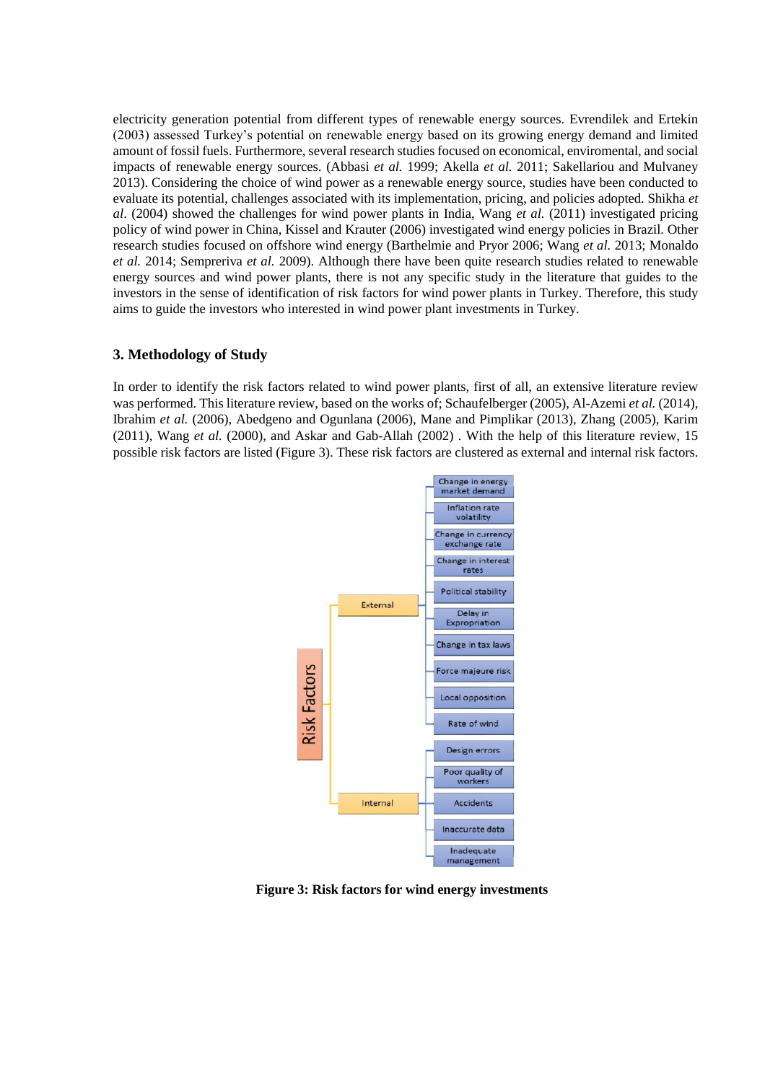electricity generation potential from different types of renewable energy sources. Evrendilek and Ertekin (2003) assessed Turkey's potential on renewable energy based on its growing energy demand and limited amount of fossil fuels. Furthermore, several research studies focused on economical, enviromental, and social impacts of renewable energy sources. (Abbasi *et al.* 1999; Akella *et al.* 2011; Sakellariou and Mulvaney 2013). Considering the choice of wind power as a renewable energy source, studies have been conducted to evaluate its potential, challenges associated with its implementation, pricing, and policies adopted. Shikha *et al*. (2004) showed the challenges for wind power plants in India, Wang *et al.* (2011) investigated pricing policy of wind power in China, Kissel and Krauter (2006) investigated wind energy policies in Brazil. Other research studies focused on offshore wind energy (Barthelmie and Pryor 2006; Wang *et al.* 2013; Monaldo *et al.* 2014; Sempreriva *et al.* 2009). Although there have been quite research studies related to renewable energy sources and wind power plants, there is not any specific study in the literature that guides to the investors in the sense of identification of risk factors for wind power plants in Turkey. Therefore, this study aims to guide the investors who interested in wind power plant investments in Turkey.

# **3. Methodology of Study**

In order to identify the risk factors related to wind power plants, first of all, an extensive literature review was performed. This literature review, based on the works of; Schaufelberger (2005), Al-Azemi *et al.* (2014), Ibrahim *et al.* (2006), Abedgeno and Ogunlana (2006), Mane and Pimplikar (2013), Zhang (2005), Karim (2011), Wang *et al.* (2000), and Askar and Gab-Allah (2002) . With the help of this literature review, 15 possible risk factors are listed (Figure 3). These risk factors are clustered as external and internal risk factors.



**Figure 3: Risk factors for wind energy investments**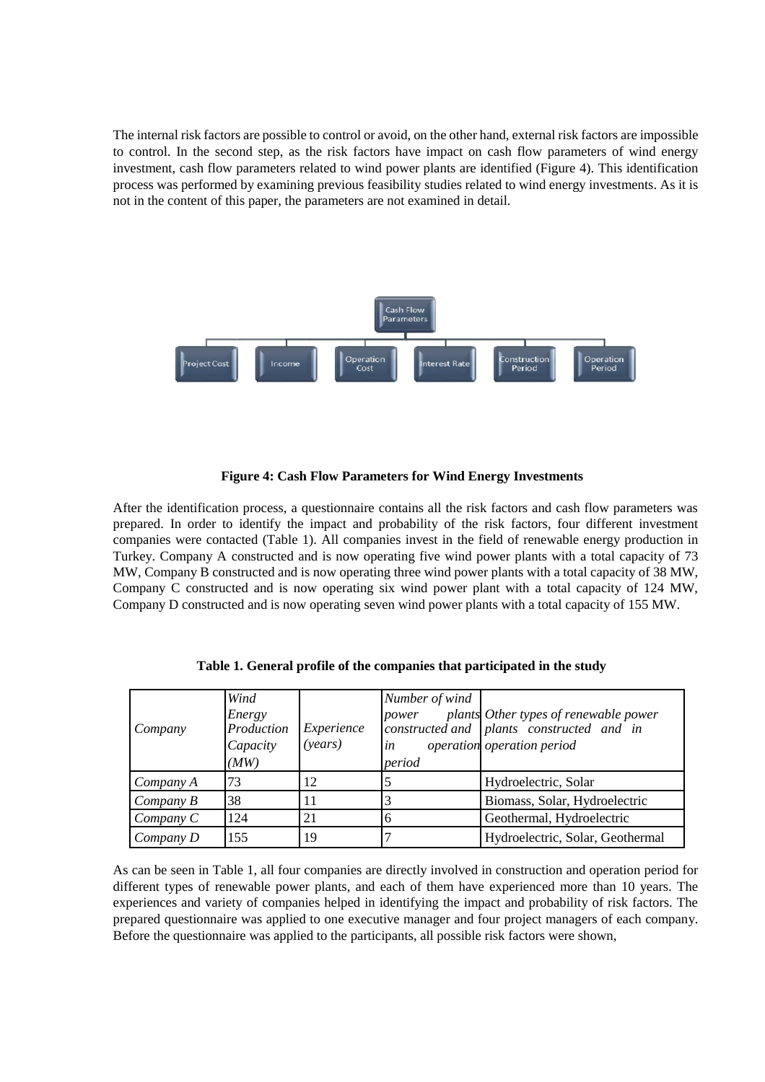The internal risk factors are possible to control or avoid, on the other hand, external risk factors are impossible to control. In the second step, as the risk factors have impact on cash flow parameters of wind energy investment, cash flow parameters related to wind power plants are identified (Figure 4). This identification process was performed by examining previous feasibility studies related to wind energy investments. As it is not in the content of this paper, the parameters are not examined in detail.



## **Figure 4: Cash Flow Parameters for Wind Energy Investments**

After the identification process, a questionnaire contains all the risk factors and cash flow parameters was prepared. In order to identify the impact and probability of the risk factors, four different investment companies were contacted (Table 1). All companies invest in the field of renewable energy production in Turkey. Company A constructed and is now operating five wind power plants with a total capacity of 73 MW, Company B constructed and is now operating three wind power plants with a total capacity of 38 MW, Company C constructed and is now operating six wind power plant with a total capacity of 124 MW, Company D constructed and is now operating seven wind power plants with a total capacity of 155 MW.

| Company   | Wind<br>Energy<br>Production<br>Capacity<br>(MW) | Experience<br>(years) | Number of wind<br>power<br>in<br>period | plants Other types of renewable power<br>constructed and plants constructed and in<br>operation operation period |
|-----------|--------------------------------------------------|-----------------------|-----------------------------------------|------------------------------------------------------------------------------------------------------------------|
| Company A | 73                                               | 12                    |                                         | Hydroelectric, Solar                                                                                             |
| Company B | 38                                               | 11                    |                                         | Biomass, Solar, Hydroelectric                                                                                    |
| Company C | 124                                              | 21                    | n                                       | Geothermal, Hydroelectric                                                                                        |
| Company D | 155                                              | 19                    |                                         | Hydroelectric, Solar, Geothermal                                                                                 |

**Table 1. General profile of the companies that participated in the study**

As can be seen in Table 1, all four companies are directly involved in construction and operation period for different types of renewable power plants, and each of them have experienced more than 10 years. The experiences and variety of companies helped in identifying the impact and probability of risk factors. The prepared questionnaire was applied to one executive manager and four project managers of each company. Before the questionnaire was applied to the participants, all possible risk factors were shown,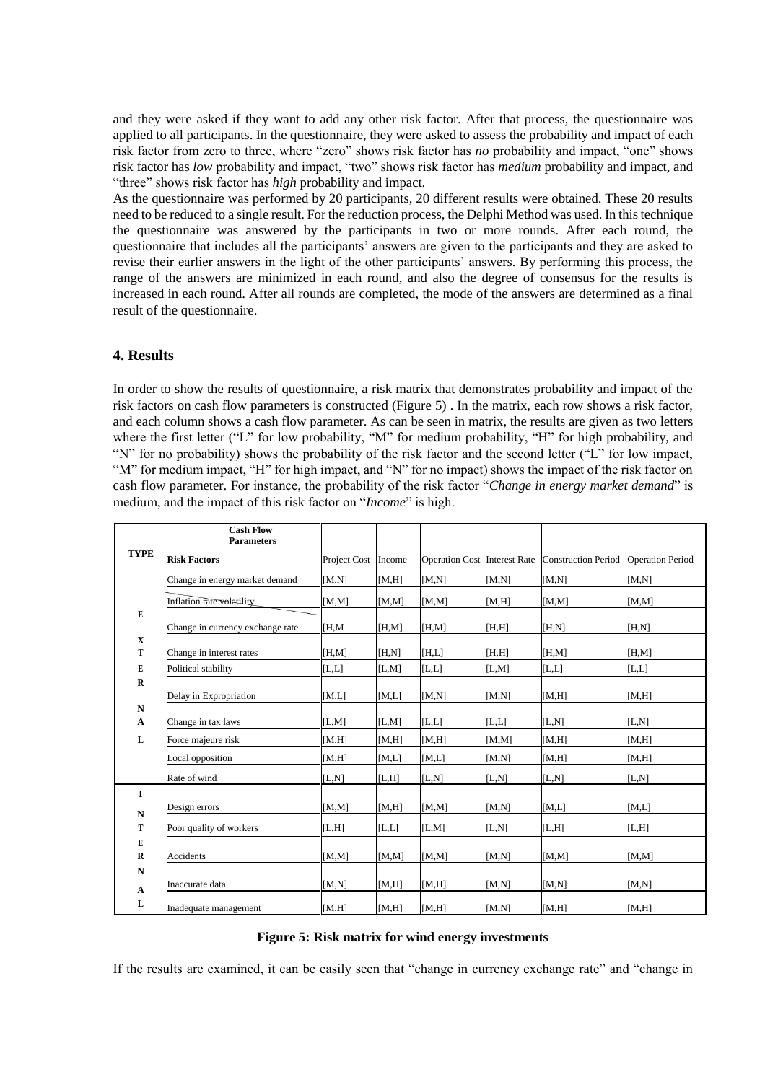and they were asked if they want to add any other risk factor. After that process, the questionnaire was applied to all participants. In the questionnaire, they were asked to assess the probability and impact of each risk factor from zero to three, where "zero" shows risk factor has *no* probability and impact, "one" shows risk factor has *low* probability and impact, "two" shows risk factor has *medium* probability and impact, and "three" shows risk factor has *high* probability and impact.

As the questionnaire was performed by 20 participants, 20 different results were obtained. These 20 results need to be reduced to a single result. For the reduction process, the Delphi Method was used. In this technique the questionnaire was answered by the participants in two or more rounds. After each round, the questionnaire that includes all the participants' answers are given to the participants and they are asked to revise their earlier answers in the light of the other participants' answers. By performing this process, the range of the answers are minimized in each round, and also the degree of consensus for the results is increased in each round. After all rounds are completed, the mode of the answers are determined as a final result of the questionnaire.

## **4. Results**

In order to show the results of questionnaire, a risk matrix that demonstrates probability and impact of the risk factors on cash flow parameters is constructed (Figure 5) . In the matrix, each row shows a risk factor, and each column shows a cash flow parameter. As can be seen in matrix, the results are given as two letters where the first letter ("L" for low probability, "M" for medium probability, "H" for high probability, and "N" for no probability) shows the probability of the risk factor and the second letter ("L" for low impact, "M" for medium impact, "H" for high impact, and "N" for no impact) shows the impact of the risk factor on cash flow parameter. For instance, the probability of the risk factor "*Change in energy market demand*" is medium, and the impact of this risk factor on "*Income*" is high.

|                                                                               | <b>Cash Flow</b><br><b>Parameters</b> |              |        |       |                     |                                                  |                         |
|-------------------------------------------------------------------------------|---------------------------------------|--------------|--------|-------|---------------------|--------------------------------------------------|-------------------------|
| <b>TYPE</b>                                                                   | <b>Risk Factors</b>                   | Project Cost | Income |       |                     | Operation Cost Interest Rate Construction Period | <b>Operation Period</b> |
| E<br>$\mathbf X$<br>T<br>E<br>$\mathbf R$<br>$\mathbf N$<br>$\mathbf{A}$<br>L | Change in energy market demand        | [M,N]        | [M,H]  | [M,N] | [M,N]               | [M,N]                                            | [M,N]                   |
|                                                                               | Inflation rate volatility             | [M,M]        | [M,M]  | [M,M] | [M,H]               | [M,M]                                            | [M,M]                   |
|                                                                               | Change in currency exchange rate      | [H, M]       | [H,M]  | [H,M] | [H,H]               | [H,N]                                            | [H,N]                   |
|                                                                               | Change in interest rates              | [H,M]        | [H,N]  | [H,L] | [H,H]               | [H,M]                                            | [H,M]                   |
|                                                                               | Political stability                   | [L,L]        | [L,M]  | [L,L] | [L,M]               | [L,L]                                            | [L,L]                   |
|                                                                               | Delay in Expropriation                | [M,L]        | [M,L]  | [M,N] | [M,N]               | [M,H]                                            | [M,H]                   |
|                                                                               | Change in tax laws                    | [L,M]        | [L,M]  | [L,L] | [L,L]               | [L,N]                                            | [L,N]                   |
|                                                                               | Force majeure risk                    | [M,H]        | [M,H]  | [M,H] | [M,M]               | [M,H]                                            | [M,H]                   |
|                                                                               | Local opposition                      | [M,H]        | [M,L]  | [M,L] | [M,N]               | [M,H]                                            | [M,H]                   |
|                                                                               | Rate of wind                          | [L,N]        | [L,H]  | [L,N] | [L,N]               | [L,N]                                            | [L,N]                   |
| I<br>${\bf N}$<br>T                                                           | Design errors                         | [M,M]        | [M,H]  | [M,M] | [M,N]               | [M,L]                                            | [M,L]                   |
|                                                                               | Poor quality of workers               | [L,H]        | [L,L]  | [L,M] | $\left[ L,N\right]$ | [L,H]                                            | [L,H]                   |
| E                                                                             |                                       |              |        |       |                     |                                                  |                         |
| $\mathbf R$<br>$\mathbf N$                                                    | Accidents                             | [M,M]        | [M,M]  | [M,M] | [M,N]               | [M,M]                                            | [M,M]                   |
|                                                                               | Inaccurate data                       | [M,N]        | [M,H]  | [M,H] | [M,N]               | [M,N]                                            | [M,N]                   |
| $\boldsymbol{\mathsf{A}}$<br>L                                                | Inadequate management                 | [M,H]        | [M,H]  | [M,H] | [M,N]               | [M,H]                                            | [M,H]                   |

### **Figure 5: Risk matrix for wind energy investments**

If the results are examined, it can be easily seen that "change in currency exchange rate" and "change in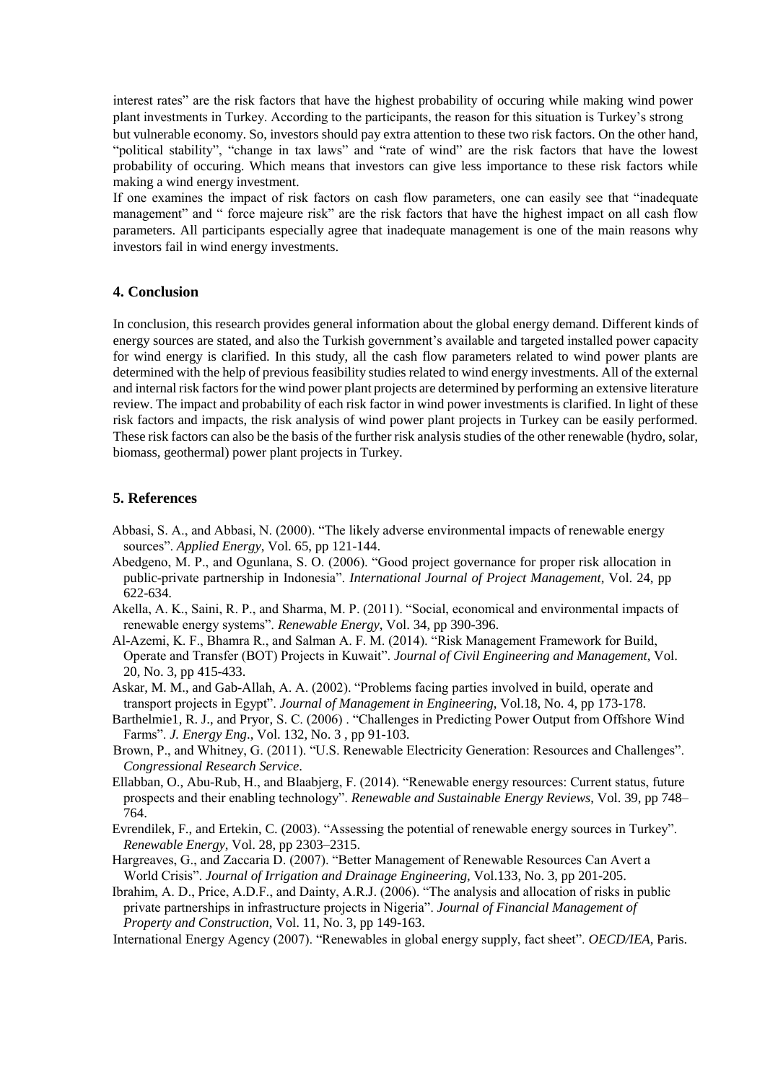interest rates" are the risk factors that have the highest probability of occuring while making wind power plant investments in Turkey. According to the participants, the reason for this situation is Turkey's strong but vulnerable economy. So, investors should pay extra attention to these two risk factors. On the other hand, "political stability", "change in tax laws" and "rate of wind" are the risk factors that have the lowest probability of occuring. Which means that investors can give less importance to these risk factors while making a wind energy investment.

If one examines the impact of risk factors on cash flow parameters, one can easily see that "inadequate management" and " force majeure risk" are the risk factors that have the highest impact on all cash flow parameters. All participants especially agree that inadequate management is one of the main reasons why investors fail in wind energy investments.

# **4. Conclusion**

In conclusion, this research provides general information about the global energy demand. Different kinds of energy sources are stated, and also the Turkish government's available and targeted installed power capacity for wind energy is clarified. In this study, all the cash flow parameters related to wind power plants are determined with the help of previous feasibility studies related to wind energy investments. All of the external and internal risk factors for the wind power plant projects are determined by performing an extensive literature review. The impact and probability of each risk factor in wind power investments is clarified. In light of these risk factors and impacts, the risk analysis of wind power plant projects in Turkey can be easily performed. These risk factors can also be the basis of the further risk analysis studies of the other renewable (hydro, solar, biomass, geothermal) power plant projects in Turkey.

# **5. References**

- Abbasi, S. A., and Abbasi, N. (2000). "The likely adverse environmental impacts of renewable energy sources". *Applied Energy*, Vol. 65, pp 121-144.
- Abedgeno, M. P., and Ogunlana, S. O. (2006). "Good project governance for proper risk allocation in public-private partnership in Indonesia". *International Journal of Project Management*, Vol. 24, pp 622-634.
- Akella, A. K., Saini, R. P., and Sharma, M. P. (2011). "Social, economical and environmental impacts of renewable energy systems". *Renewable Energy*, Vol. 34, pp 390-396.
- Al-Azemi, K. F., Bhamra R., and Salman A. F. M. (2014). "Risk Management Framework for Build, Operate and Transfer (BOT) Projects in Kuwait". *Journal of Civil Engineering and Management*, Vol. 20, No. 3, pp 415-433.
- Askar, M. M., and Gab-Allah, A. A. (2002). "Problems facing parties involved in build, operate and transport projects in Egypt". *Journal of Management in Engineering*, Vol.18, No. 4, pp 173-178.
- Barthelmie1, R. J., and Pryor, S. C. (2006) . "Challenges in Predicting Power Output from Offshore Wind Farms". *J. Energy Eng*., Vol. 132, No. 3 , pp 91-103.
- Brown, P., and Whitney, G. (2011). "U.S. Renewable Electricity Generation: Resources and Challenges". *Congressional Research Service*.
- Ellabban, O., Abu-Rub, H., and Blaabjerg, F. (2014). "Renewable energy resources: Current status, future prospects and their enabling technology". *Renewable and Sustainable Energy Reviews*, Vol. 39, pp 748– 764.
- Evrendilek, F., and Ertekin, C. (2003). "Assessing the potential of renewable energy sources in Turkey". *Renewable Energy*, Vol. 28, pp 2303–2315.
- Hargreaves, G., and Zaccaria D. (2007). "Better Management of Renewable Resources Can Avert a World Crisis". *Journal of Irrigation and Drainage Engineering,* Vol.133, No. 3, pp 201-205.

Ibrahim, A. D., Price, A.D.F., and Dainty, A.R.J. (2006). "The analysis and allocation of risks in public private partnerships in infrastructure projects in Nigeria". *Journal of Financial Management of Property and Construction*, Vol. 11, No. 3, pp 149-163.

International Energy Agency (2007). "Renewables in global energy supply, fact sheet". *OECD/IEA*, Paris.